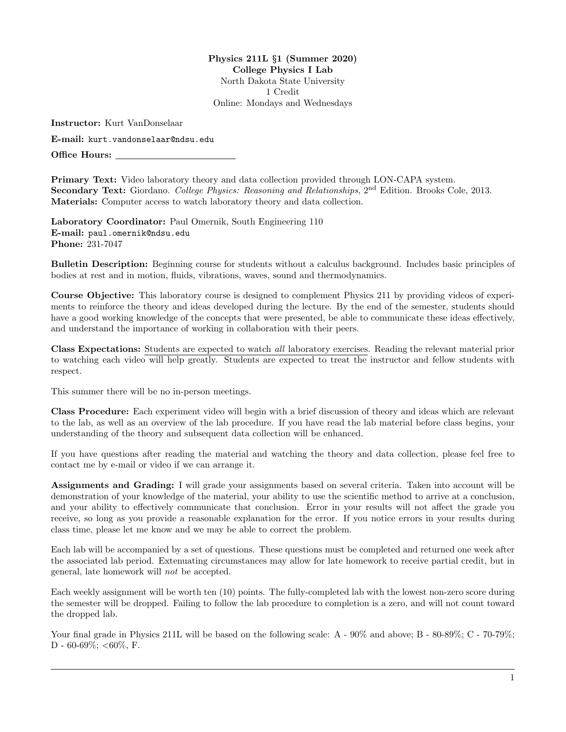Physics 211L §1 (Summer 2020) College Physics I Lab North Dakota State University 1 Credit Online: Mondays and Wednesdays

Instructor: Kurt VanDonselaar

E-mail: kurt.vandonselaar@ndsu.edu

Office Hours:

Primary Text: Video laboratory theory and data collection provided through LON-CAPA system. Secondary Text: Giordano. College Physics: Reasoning and Relationships, 2<sup>nd</sup> Edition. Brooks Cole. 2013. Materials: Computer access to watch laboratory theory and data collection.

Laboratory Coordinator: Paul Omernik, South Engineering 110 E-mail: paul.omernik@ndsu.edu Phone: 231-7047

Bulletin Description: Beginning course for students without a calculus background. Includes basic principles of bodies at rest and in motion, fluids, vibrations, waves, sound and thermodynamics.

Course Objective: This laboratory course is designed to complement Physics 211 by providing videos of experiments to reinforce the theory and ideas developed during the lecture. By the end of the semester, students should have a good working knowledge of the concepts that were presented, be able to communicate these ideas effectively, and understand the importance of working in collaboration with their peers.

Class Expectations: Students are expected to watch all laboratory exercises. Reading the relevant material prior to watching each video will help greatly. Students are expected to treat the instructor and fellow students with respect.

This summer there will be no in-person meetings.

Class Procedure: Each experiment video will begin with a brief discussion of theory and ideas which are relevant to the lab, as well as an overview of the lab procedure. If you have read the lab material before class begins, your understanding of the theory and subsequent data collection will be enhanced.

If you have questions after reading the material and watching the theory and data collection, please feel free to contact me by e-mail or video if we can arrange it.

Assignments and Grading: I will grade your assignments based on several criteria. Taken into account will be demonstration of your knowledge of the material, your ability to use the scientific method to arrive at a conclusion, and your ability to effectively communicate that conclusion. Error in your results will not affect the grade you receive, so long as you provide a reasonable explanation for the error. If you notice errors in your results during class time, please let me know and we may be able to correct the problem.

Each lab will be accompanied by a set of questions. These questions must be completed and returned one week after the associated lab period. Extenuating circumstances may allow for late homework to receive partial credit, but in general, late homework will not be accepted.

Each weekly assignment will be worth ten (10) points. The fully-completed lab with the lowest non-zero score during the semester will be dropped. Failing to follow the lab procedure to completion is a zero, and will not count toward the dropped lab.

Your final grade in Physics 211L will be based on the following scale: A -  $90\%$  and above; B -  $80-89\%$ ; C -  $70-79\%$ ; D - 60-69%; <60%, F.